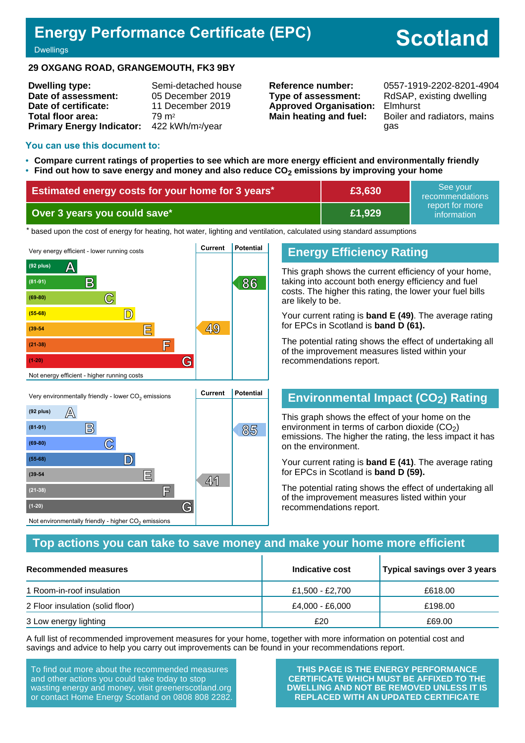## **Energy Performance Certificate (EPC)**

# **Scotland**

#### **Dwellings**

#### **29 OXGANG ROAD, GRANGEMOUTH, FK3 9BY**

| <b>Dwelling type:</b>                                  | Semi-detached house |
|--------------------------------------------------------|---------------------|
| Date of assessment:                                    | 05 December 2019    |
| Date of certificate:                                   | 11 December 2019    |
| Total floor area:                                      | 79 m <sup>2</sup>   |
| Primary Energy Indicator: 422 kWh/m <sup>2</sup> /year |                     |

**Type of assessment:** RdSAP, existing dwelling **Approved Organisation:** Elmhurst

**Reference number:** 0557-1919-2202-8201-4904 **Main heating and fuel:** Boiler and radiators, mains gas

#### **You can use this document to:**

- **Compare current ratings of properties to see which are more energy efficient and environmentally friendly**
- **Find out how to save energy and money and also reduce CO2 emissions by improving your home**

| Estimated energy costs for your home for 3 years* | E3,630 | See vour<br>recommendations                 |
|---------------------------------------------------|--------|---------------------------------------------|
| Over 3 years you could save*                      | £1,929 | report for more<br>information <sup>1</sup> |

the based upon the cost of energy for heating, hot water, lighting and ventilation, calculated using standard assumptions



### **Energy Efficiency Rating**

This graph shows the current efficiency of your home, taking into account both energy efficiency and fuel costs. The higher this rating, the lower your fuel bills are likely to be.

Your current rating is **band E (49)**. The average rating for EPCs in Scotland is **band D (61).**

The potential rating shows the effect of undertaking all of the improvement measures listed within your recommendations report.

### **Environmental Impact (CO2) Rating**

This graph shows the effect of your home on the environment in terms of carbon dioxide  $(CO<sub>2</sub>)$ emissions. The higher the rating, the less impact it has on the environment.

Your current rating is **band E (41)**. The average rating for EPCs in Scotland is **band D (59).**

The potential rating shows the effect of undertaking all of the improvement measures listed within your recommendations report.

#### **Top actions you can take to save money and make your home more efficient**

| Recommended measures             | Indicative cost | Typical savings over 3 years |
|----------------------------------|-----------------|------------------------------|
| 1 Room-in-roof insulation        | £1,500 - £2,700 | £618.00                      |
| 2 Floor insulation (solid floor) | £4,000 - £6,000 | £198.00                      |
| 3 Low energy lighting            | £20             | £69.00                       |

A full list of recommended improvement measures for your home, together with more information on potential cost and savings and advice to help you carry out improvements can be found in your recommendations report.

To find out more about the recommended measures and other actions you could take today to stop wasting energy and money, visit greenerscotland.org or contact Home Energy Scotland on 0808 808 2282.

**<sup>41</sup> (39-54 E**

**(21-38) F**

Not environmentally friendly - higher  $\mathrm{CO}_2$  emissions

**(1-20) G**

**THIS PAGE IS THE ENERGY PERFORMANCE CERTIFICATE WHICH MUST BE AFFIXED TO THE DWELLING AND NOT BE REMOVED UNLESS IT IS REPLACED WITH AN UPDATED CERTIFICATE**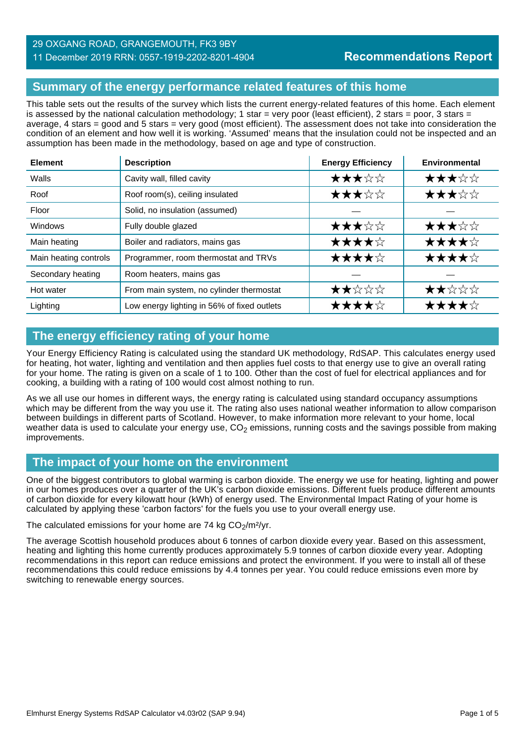### 29 OXGANG ROAD, GRANGEMOUTH, FK3 9BY

#### 11 December 2019 RRN: 0557-1919-2202-8201-4904

### **Summary of the energy performance related features of this home**

This table sets out the results of the survey which lists the current energy-related features of this home. Each element is assessed by the national calculation methodology; 1 star = very poor (least efficient), 2 stars = poor, 3 stars = average, 4 stars = good and 5 stars = very good (most efficient). The assessment does not take into consideration the condition of an element and how well it is working. 'Assumed' means that the insulation could not be inspected and an assumption has been made in the methodology, based on age and type of construction.

| <b>Element</b>        | <b>Description</b>                          | <b>Energy Efficiency</b> | Environmental |
|-----------------------|---------------------------------------------|--------------------------|---------------|
| Walls                 | Cavity wall, filled cavity                  | ★★★☆☆                    | ★★★☆☆         |
| Roof                  | Roof room(s), ceiling insulated             | ★★★☆☆                    | ★★★☆☆         |
| Floor                 | Solid, no insulation (assumed)              |                          |               |
| Windows               | Fully double glazed                         | ★★★☆☆                    | ★★★☆☆         |
| Main heating          | Boiler and radiators, mains gas             | ★★★★☆                    | ★★★★☆         |
| Main heating controls | Programmer, room thermostat and TRVs        | ★★★★☆                    | ★★★★☆         |
| Secondary heating     | Room heaters, mains gas                     |                          |               |
| Hot water             | From main system, no cylinder thermostat    | ★★☆☆☆                    | ★★☆☆☆         |
| Lighting              | Low energy lighting in 56% of fixed outlets | ★★★★☆                    | ★★★★☆         |

### **The energy efficiency rating of your home**

Your Energy Efficiency Rating is calculated using the standard UK methodology, RdSAP. This calculates energy used for heating, hot water, lighting and ventilation and then applies fuel costs to that energy use to give an overall rating for your home. The rating is given on a scale of 1 to 100. Other than the cost of fuel for electrical appliances and for cooking, a building with a rating of 100 would cost almost nothing to run.

As we all use our homes in different ways, the energy rating is calculated using standard occupancy assumptions which may be different from the way you use it. The rating also uses national weather information to allow comparison between buildings in different parts of Scotland. However, to make information more relevant to your home, local weather data is used to calculate your energy use,  $CO<sub>2</sub>$  emissions, running costs and the savings possible from making improvements.

### **The impact of your home on the environment**

One of the biggest contributors to global warming is carbon dioxide. The energy we use for heating, lighting and power in our homes produces over a quarter of the UK's carbon dioxide emissions. Different fuels produce different amounts of carbon dioxide for every kilowatt hour (kWh) of energy used. The Environmental Impact Rating of your home is calculated by applying these 'carbon factors' for the fuels you use to your overall energy use.

The calculated emissions for your home are 74 kg  $CO<sub>2</sub>/m<sup>2</sup>/yr$ .

The average Scottish household produces about 6 tonnes of carbon dioxide every year. Based on this assessment, heating and lighting this home currently produces approximately 5.9 tonnes of carbon dioxide every year. Adopting recommendations in this report can reduce emissions and protect the environment. If you were to install all of these recommendations this could reduce emissions by 4.4 tonnes per year. You could reduce emissions even more by switching to renewable energy sources.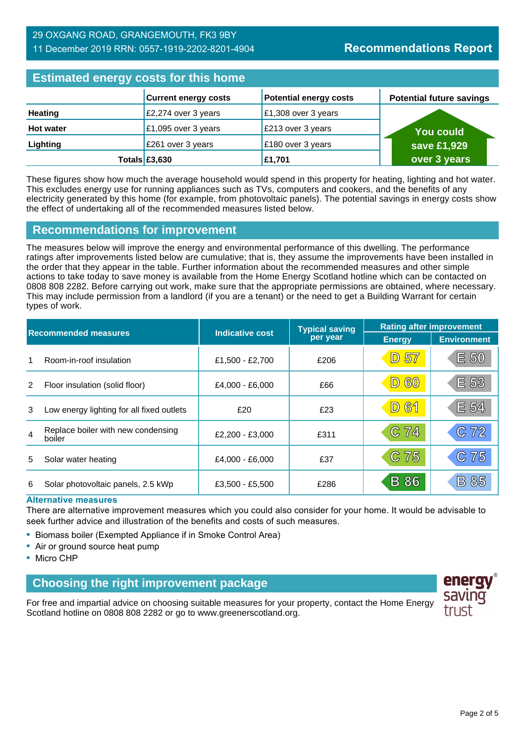### 29 OXGANG ROAD, GRANGEMOUTH, FK3 9BY 11 December 2019 RRN: 0557-1919-2202-8201-4904

### **Estimated energy costs for this home**

| <b>ESMINIQUE CITETAT COSTS TOT MIS HUIHC</b> |                             |                               |                                 |  |
|----------------------------------------------|-----------------------------|-------------------------------|---------------------------------|--|
|                                              | <b>Current energy costs</b> | <b>Potential energy costs</b> | <b>Potential future savings</b> |  |
| <b>Heating</b>                               | £2,274 over 3 years         | £1,308 over 3 years           |                                 |  |
| <b>Hot water</b>                             | £1,095 over 3 years         | £213 over 3 years             | <b>You could</b>                |  |
| Lighting                                     | £261 over 3 years           | £180 over 3 years             | save £1,929                     |  |
|                                              | Totals $£3,630$             | £1,701                        | over 3 years                    |  |

These figures show how much the average household would spend in this property for heating, lighting and hot water. This excludes energy use for running appliances such as TVs, computers and cookers, and the benefits of any electricity generated by this home (for example, from photovoltaic panels). The potential savings in energy costs show the effect of undertaking all of the recommended measures listed below.

### **Recommendations for improvement**

The measures below will improve the energy and environmental performance of this dwelling. The performance ratings after improvements listed below are cumulative; that is, they assume the improvements have been installed in the order that they appear in the table. Further information about the recommended measures and other simple actions to take today to save money is available from the Home Energy Scotland hotline which can be contacted on 0808 808 2282. Before carrying out work, make sure that the appropriate permissions are obtained, where necessary. This may include permission from a landlord (if you are a tenant) or the need to get a Building Warrant for certain types of work.

| <b>Recommended measures</b> |                                              |                        | <b>Typical saving</b> | <b>Rating after improvement</b> |                    |
|-----------------------------|----------------------------------------------|------------------------|-----------------------|---------------------------------|--------------------|
|                             |                                              | <b>Indicative cost</b> | per year              | <b>Energy</b>                   | <b>Environment</b> |
|                             | Room-in-roof insulation                      | £1,500 - £2,700        | £206                  | <b>D 57</b>                     | E 50               |
| 2                           | Floor insulation (solid floor)               | £4.000 - £6.000        | £66                   | 60<br>$\boxed{\mathsf{D}}$      | E 53               |
| 3                           | Low energy lighting for all fixed outlets    | £20                    | £23                   | <b>D61</b>                      | E 54               |
| $\overline{4}$              | Replace boiler with new condensing<br>boiler | £2,200 - £3,000        | £311                  | C 74                            | C 72               |
| 5                           | Solar water heating                          | £4,000 - £6,000        | £37                   | C 75                            | 75<br>$\mathbb{C}$ |
| 6                           | Solar photovoltaic panels, 2.5 kWp           | £3,500 - £5,500        | £286                  | <b>B</b> 86                     | 85<br>$\mathsf B$  |

#### **Alternative measures**

There are alternative improvement measures which you could also consider for your home. It would be advisable to seek further advice and illustration of the benefits and costs of such measures.

- Biomass boiler (Exempted Appliance if in Smoke Control Area)
- Air or ground source heat pump
- Micro CHP

### **Choosing the right improvement package**

For free and impartial advice on choosing suitable measures for your property, contact the Home Energy Scotland hotline on 0808 808 2282 or go to www.greenerscotland.org.

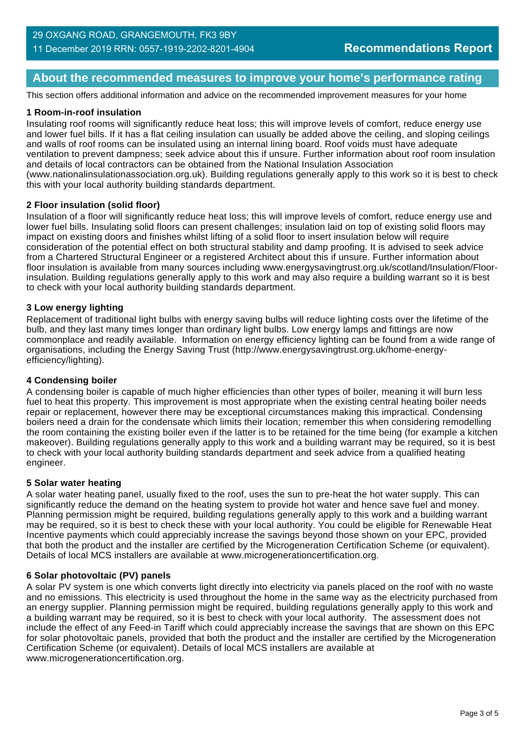### **About the recommended measures to improve your home's performance rating**

This section offers additional information and advice on the recommended improvement measures for your home

#### **1 Room-in-roof insulation**

Insulating roof rooms will significantly reduce heat loss; this will improve levels of comfort, reduce energy use and lower fuel bills. If it has a flat ceiling insulation can usually be added above the ceiling, and sloping ceilings and walls of roof rooms can be insulated using an internal lining board. Roof voids must have adequate ventilation to prevent dampness; seek advice about this if unsure. Further information about roof room insulation and details of local contractors can be obtained from the National Insulation Association (www.nationalinsulationassociation.org.uk). Building regulations generally apply to this work so it is best to check this with your local authority building standards department.

#### **2 Floor insulation (solid floor)**

Insulation of a floor will significantly reduce heat loss; this will improve levels of comfort, reduce energy use and lower fuel bills. Insulating solid floors can present challenges; insulation laid on top of existing solid floors may impact on existing doors and finishes whilst lifting of a solid floor to insert insulation below will require consideration of the potential effect on both structural stability and damp proofing. It is advised to seek advice from a Chartered Structural Engineer or a registered Architect about this if unsure. Further information about floor insulation is available from many sources including www.energysavingtrust.org.uk/scotland/Insulation/Floorinsulation. Building regulations generally apply to this work and may also require a building warrant so it is best to check with your local authority building standards department.

#### **3 Low energy lighting**

Replacement of traditional light bulbs with energy saving bulbs will reduce lighting costs over the lifetime of the bulb, and they last many times longer than ordinary light bulbs. Low energy lamps and fittings are now commonplace and readily available. Information on energy efficiency lighting can be found from a wide range of organisations, including the Energy Saving Trust (http://www.energysavingtrust.org.uk/home-energyefficiency/lighting).

#### **4 Condensing boiler**

A condensing boiler is capable of much higher efficiencies than other types of boiler, meaning it will burn less fuel to heat this property. This improvement is most appropriate when the existing central heating boiler needs repair or replacement, however there may be exceptional circumstances making this impractical. Condensing boilers need a drain for the condensate which limits their location; remember this when considering remodelling the room containing the existing boiler even if the latter is to be retained for the time being (for example a kitchen makeover). Building regulations generally apply to this work and a building warrant may be required, so it is best to check with your local authority building standards department and seek advice from a qualified heating engineer.

#### **5 Solar water heating**

A solar water heating panel, usually fixed to the roof, uses the sun to pre-heat the hot water supply. This can significantly reduce the demand on the heating system to provide hot water and hence save fuel and money. Planning permission might be required, building regulations generally apply to this work and a building warrant may be required, so it is best to check these with your local authority. You could be eligible for Renewable Heat Incentive payments which could appreciably increase the savings beyond those shown on your EPC, provided that both the product and the installer are certified by the Microgeneration Certification Scheme (or equivalent). Details of local MCS installers are available at www.microgenerationcertification.org.

#### **6 Solar photovoltaic (PV) panels**

A solar PV system is one which converts light directly into electricity via panels placed on the roof with no waste and no emissions. This electricity is used throughout the home in the same way as the electricity purchased from an energy supplier. Planning permission might be required, building regulations generally apply to this work and a building warrant may be required, so it is best to check with your local authority. The assessment does not include the effect of any Feed-in Tariff which could appreciably increase the savings that are shown on this EPC for solar photovoltaic panels, provided that both the product and the installer are certified by the Microgeneration Certification Scheme (or equivalent). Details of local MCS installers are available at www.microgenerationcertification.org.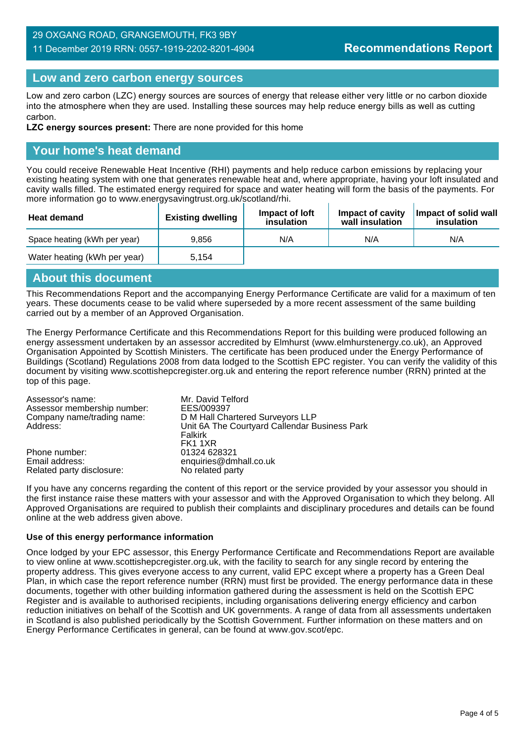### 29 OXGANG ROAD, GRANGEMOUTH, FK3 9BY 11 December 2019 RRN: 0557-1919-2202-8201-4904

### **Low and zero carbon energy sources**

Low and zero carbon (LZC) energy sources are sources of energy that release either very little or no carbon dioxide into the atmosphere when they are used. Installing these sources may help reduce energy bills as well as cutting carbon.

**LZC energy sources present:** There are none provided for this home

### **Your home's heat demand**

You could receive Renewable Heat Incentive (RHI) payments and help reduce carbon emissions by replacing your existing heating system with one that generates renewable heat and, where appropriate, having your loft insulated and cavity walls filled. The estimated energy required for space and water heating will form the basis of the payments. For more information go to www.energysavingtrust.org.uk/scotland/rhi.

| <b>Heat demand</b>           | <b>Existing dwelling</b> | Impact of Joft<br>insulation | Impact of cavity<br>wall insulation | Impact of solid wall<br>insulation |
|------------------------------|--------------------------|------------------------------|-------------------------------------|------------------------------------|
| Space heating (kWh per year) | 9.856                    | N/A                          | N/A                                 | N/A                                |
| Water heating (kWh per year) | 5.154                    |                              |                                     |                                    |

### **About this document**

This Recommendations Report and the accompanying Energy Performance Certificate are valid for a maximum of ten years. These documents cease to be valid where superseded by a more recent assessment of the same building carried out by a member of an Approved Organisation.

The Energy Performance Certificate and this Recommendations Report for this building were produced following an energy assessment undertaken by an assessor accredited by Elmhurst (www.elmhurstenergy.co.uk), an Approved Organisation Appointed by Scottish Ministers. The certificate has been produced under the Energy Performance of Buildings (Scotland) Regulations 2008 from data lodged to the Scottish EPC register. You can verify the validity of this document by visiting www.scottishepcregister.org.uk and entering the report reference number (RRN) printed at the top of this page.

| Assessor's name:            | Mr. David Telford                             |
|-----------------------------|-----------------------------------------------|
| Assessor membership number: | EES/009397                                    |
| Company name/trading name:  | D M Hall Chartered Surveyors LLP              |
| Address:                    | Unit 6A The Courtyard Callendar Business Park |
|                             | Falkirk                                       |
|                             | FK1 1XR                                       |
| Phone number:               | 01324 628321                                  |
| Email address:              | enquiries@dmhall.co.uk                        |
| Related party disclosure:   | No related party                              |

If you have any concerns regarding the content of this report or the service provided by your assessor you should in the first instance raise these matters with your assessor and with the Approved Organisation to which they belong. All Approved Organisations are required to publish their complaints and disciplinary procedures and details can be found online at the web address given above.

#### **Use of this energy performance information**

Once lodged by your EPC assessor, this Energy Performance Certificate and Recommendations Report are available to view online at www.scottishepcregister.org.uk, with the facility to search for any single record by entering the property address. This gives everyone access to any current, valid EPC except where a property has a Green Deal Plan, in which case the report reference number (RRN) must first be provided. The energy performance data in these documents, together with other building information gathered during the assessment is held on the Scottish EPC Register and is available to authorised recipients, including organisations delivering energy efficiency and carbon reduction initiatives on behalf of the Scottish and UK governments. A range of data from all assessments undertaken in Scotland is also published periodically by the Scottish Government. Further information on these matters and on Energy Performance Certificates in general, can be found at www.gov.scot/epc.